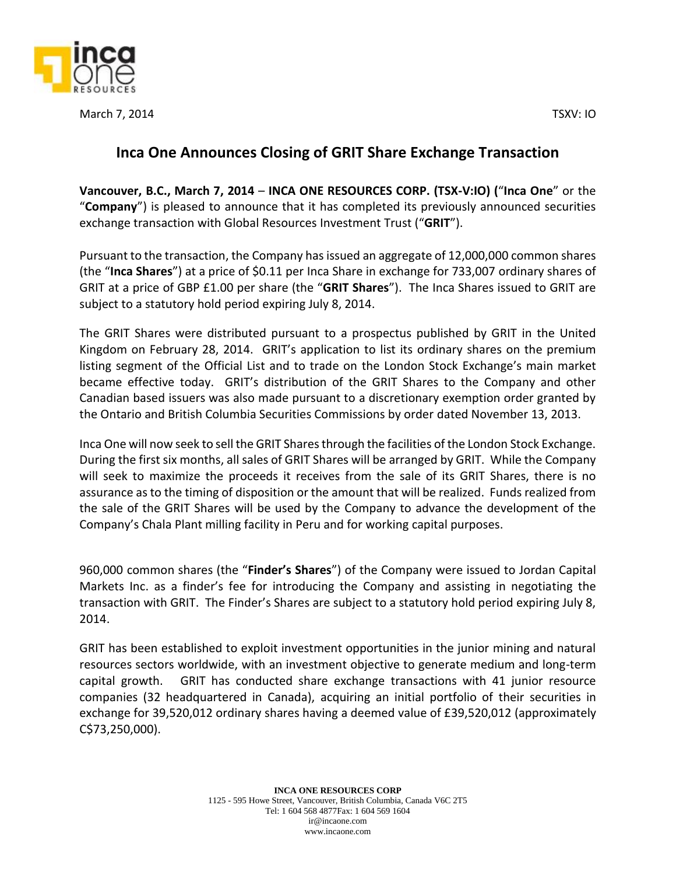



March 7, 2014 TSXV: IO

## **Inca One Announces Closing of GRIT Share Exchange Transaction**

**Vancouver, B.C., March 7, 2014** – **INCA ONE RESOURCES CORP. (TSX‐V:IO) (**"**Inca One**" or the "**Company**") is pleased to announce that it has completed its previously announced securities exchange transaction with Global Resources Investment Trust ("**GRIT**").

Pursuant to the transaction, the Company has issued an aggregate of 12,000,000 common shares (the "**Inca Shares**") at a price of \$0.11 per Inca Share in exchange for 733,007 ordinary shares of GRIT at a price of GBP £1.00 per share (the "**GRIT Shares**"). The Inca Shares issued to GRIT are subject to a statutory hold period expiring July 8, 2014.

The GRIT Shares were distributed pursuant to a prospectus published by GRIT in the United Kingdom on February 28, 2014. GRIT's application to list its ordinary shares on the premium listing segment of the Official List and to trade on the London Stock Exchange's main market became effective today. GRIT's distribution of the GRIT Shares to the Company and other Canadian based issuers was also made pursuant to a discretionary exemption order granted by the Ontario and British Columbia Securities Commissions by order dated November 13, 2013.

Inca One will now seek to sell the GRIT Shares through the facilities of the London Stock Exchange. During the first six months, all sales of GRIT Shares will be arranged by GRIT. While the Company will seek to maximize the proceeds it receives from the sale of its GRIT Shares, there is no assurance as to the timing of disposition or the amount that will be realized. Funds realized from the sale of the GRIT Shares will be used by the Company to advance the development of the Company's Chala Plant milling facility in Peru and for working capital purposes.

960,000 common shares (the "**Finder's Shares**") of the Company were issued to Jordan Capital Markets Inc. as a finder's fee for introducing the Company and assisting in negotiating the transaction with GRIT. The Finder's Shares are subject to a statutory hold period expiring July 8, 2014.

GRIT has been established to exploit investment opportunities in the junior mining and natural resources sectors worldwide, with an investment objective to generate medium and long-term capital growth. GRIT has conducted share exchange transactions with 41 junior resource companies (32 headquartered in Canada), acquiring an initial portfolio of their securities in exchange for 39,520,012 ordinary shares having a deemed value of £39,520,012 (approximately C\$73,250,000).